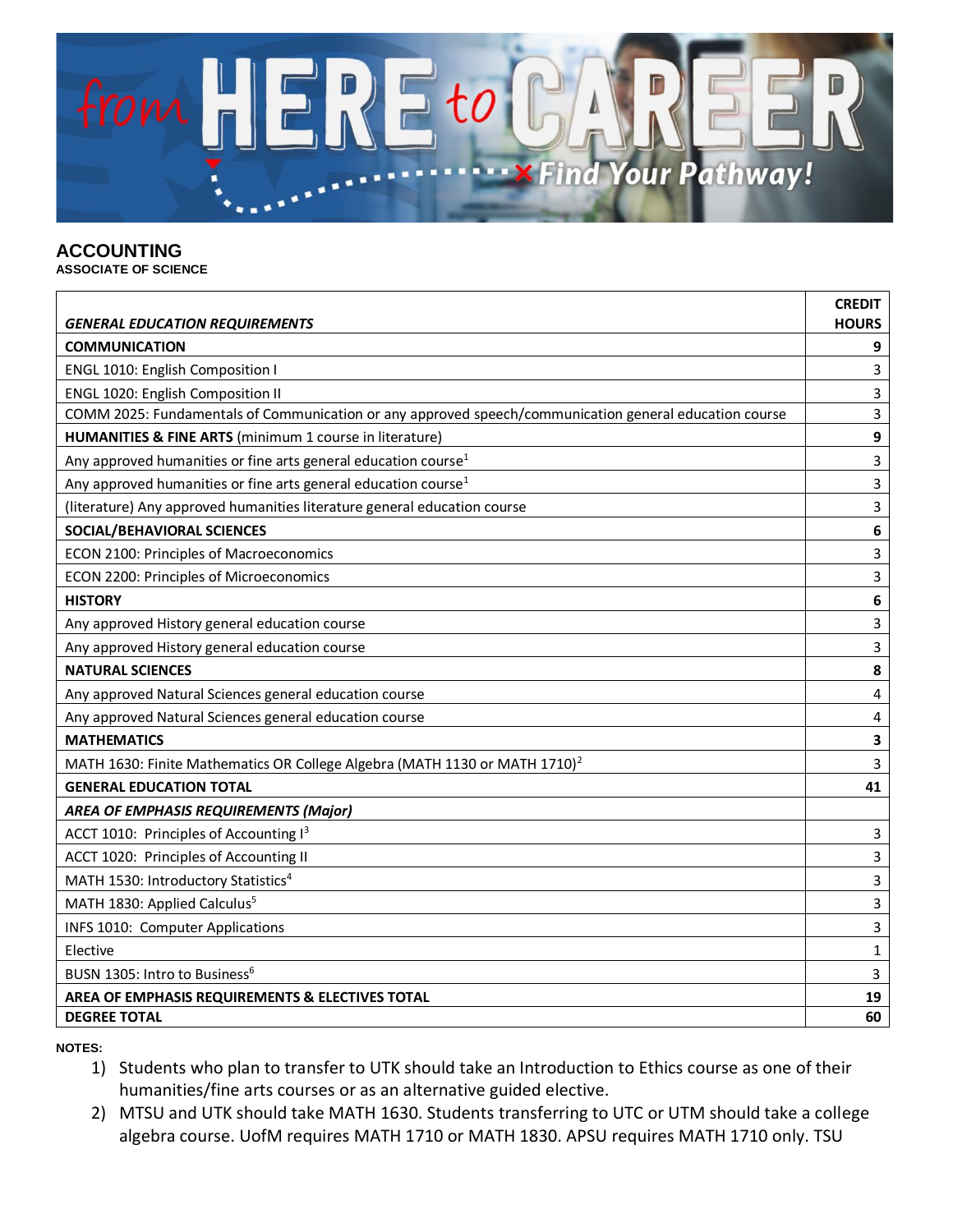

## **ACCOUNTING**

**ASSOCIATE OF SCIENCE**

| <b>GENERAL EDUCATION REQUIREMENTS</b>                                                                  | <b>CREDIT</b><br><b>HOURS</b> |
|--------------------------------------------------------------------------------------------------------|-------------------------------|
| <b>COMMUNICATION</b>                                                                                   | 9                             |
| ENGL 1010: English Composition I                                                                       | 3                             |
| ENGL 1020: English Composition II                                                                      | 3                             |
| COMM 2025: Fundamentals of Communication or any approved speech/communication general education course | 3                             |
| HUMANITIES & FINE ARTS (minimum 1 course in literature)                                                | 9                             |
| Any approved humanities or fine arts general education course <sup>1</sup>                             | 3                             |
| Any approved humanities or fine arts general education course <sup>1</sup>                             | 3                             |
| (literature) Any approved humanities literature general education course                               | $\overline{3}$                |
| SOCIAL/BEHAVIORAL SCIENCES                                                                             | 6                             |
| ECON 2100: Principles of Macroeconomics                                                                | 3                             |
| ECON 2200: Principles of Microeconomics                                                                | 3                             |
| <b>HISTORY</b>                                                                                         | 6                             |
| Any approved History general education course                                                          | 3                             |
| Any approved History general education course                                                          | 3                             |
| <b>NATURAL SCIENCES</b>                                                                                | 8                             |
| Any approved Natural Sciences general education course                                                 | 4                             |
| Any approved Natural Sciences general education course                                                 | 4                             |
| <b>MATHEMATICS</b>                                                                                     | 3                             |
| MATH 1630: Finite Mathematics OR College Algebra (MATH 1130 or MATH 1710) <sup>2</sup>                 | 3                             |
| <b>GENERAL EDUCATION TOTAL</b>                                                                         | 41                            |
| <b>AREA OF EMPHASIS REQUIREMENTS (Major)</b>                                                           |                               |
| ACCT 1010: Principles of Accounting I3                                                                 | 3                             |
| ACCT 1020: Principles of Accounting II                                                                 | 3                             |
| MATH 1530: Introductory Statistics <sup>4</sup>                                                        | $\overline{3}$                |
| MATH 1830: Applied Calculus <sup>5</sup>                                                               | 3                             |
| INFS 1010: Computer Applications                                                                       | 3                             |
| Elective                                                                                               | 1                             |
| BUSN 1305: Intro to Business <sup>6</sup>                                                              | 3                             |
| AREA OF EMPHASIS REQUIREMENTS & ELECTIVES TOTAL                                                        | 19                            |
| <b>DEGREE TOTAL</b>                                                                                    | 60                            |

**NOTES:**

- 1) Students who plan to transfer to UTK should take an Introduction to Ethics course as one of their humanities/fine arts courses or as an alternative guided elective.
- 2) MTSU and UTK should take MATH 1630. Students transferring to UTC or UTM should take a college algebra course. UofM requires MATH 1710 or MATH 1830. APSU requires MATH 1710 only. TSU